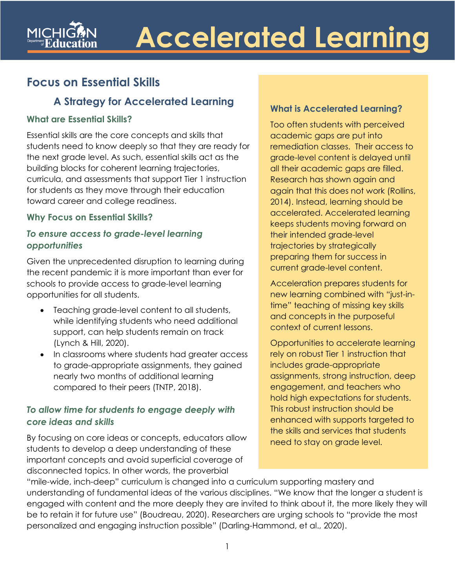# **Accelerated Learning**

## **Focus on Essential Skills**

### **A Strategy for Accelerated Learning**

#### **What are Essential Skills?**

Essential skills are the core concepts and skills that students need to know deeply so that they are ready for the next grade level. As such, essential skills act as the building blocks for coherent learning trajectories, curricula, and assessments that support Tier 1 instruction for students as they move through their education toward career and college readiness.

#### **Why Focus on Essential Skills?**

#### *To ensure access to grade-level learning opportunities*

Given the unprecedented disruption to learning during the recent pandemic it is more important than ever for schools to provide access to grade-level learning opportunities for all students.

- Teaching grade-level content to all students, while identifying students who need additional support, can help students remain on track (Lynch & Hill, 2020).
- In classrooms where students had greater access to grade-appropriate assignments, they gained nearly two months of additional learning compared to their peers (TNTP, 2018).

#### *To allow time for students to engage deeply with core ideas and skills*

By focusing on core ideas or concepts, educators allow students to develop a deep understanding of these important concepts and avoid superficial coverage of disconnected topics. In other words, the proverbial

#### **What is Accelerated Learning?**

Too often students with perceived academic gaps are put into remediation classes. Their access to grade-level content is delayed until all their academic gaps are filled. Research has shown again and again that this does not work (Rollins, 2014). Instead, learning should be accelerated. Accelerated learning keeps students moving forward on their intended grade-level trajectories by strategically preparing them for success in current grade-level content.

Acceleration prepares students for new learning combined with "just-intime" teaching of missing key skills and concepts in the purposeful context of current lessons.

Opportunities to accelerate learning rely on robust Tier 1 instruction that includes grade-appropriate assignments, strong instruction, deep engagement, and teachers who hold high expectations for students. This robust instruction should be enhanced with supports targeted to the skills and services that students need to stay on grade level.

"mile-wide, inch-deep" curriculum is changed into a curriculum supporting mastery and understanding of fundamental ideas of the various disciplines. "We know that the longer a student is engaged with content and the more deeply they are invited to think about it, the more likely they will be to retain it for future use" (Boudreau, 2020). Researchers are urging schools to "provide the most personalized and engaging instruction possible" (Darling-Hammond, et al., 2020).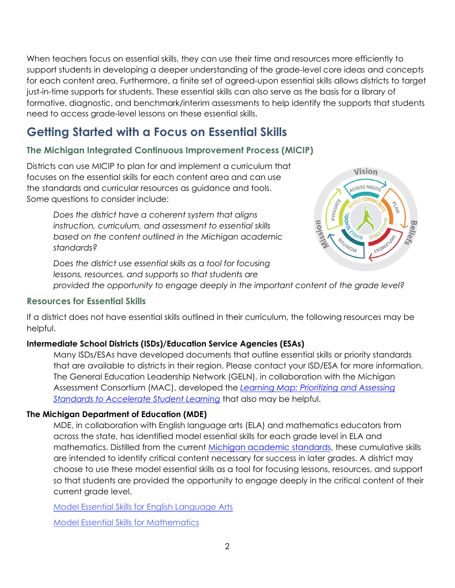support students in developing a deeper understanding of the grade-level core ideas and concepts just-in-time supports for students. These essential skills can also serve as the basis for a library of When teachers focus on essential skills, they can use their time and resources more efficiently to for each content area. Furthermore, a finite set of agreed-upon essential skills allows districts to target formative, diagnostic, and benchmark/interim assessments to help identify the supports that students need to access grade-level lessons on these essential skills.

## **Getting Started with a Focus on Essential Skills**

#### **The Michigan Integrated Continuous Improvement Process (MICIP)**

 Districts can use MICIP to plan for and implement a curriculum that focuses on the essential skills for each content area and can use the standards and curricular resources as guidance and tools. Some questions to consider include:

> *based on the content outlined in the Michigan academic Does the district have a coherent system that aligns instruction, curriculum, and assessment to essential skills standards?*

 *Does the district use essential skills as a tool for focusing lessons, resources, and supports so that students are* 



 *provided the opportunity to engage deeply in the important content of the grade level?* 

#### **Resources for Essential Skills**

 If a district does not have essential skills outlined in their curriculum, the following resources may be helpful.

#### **Intermediate School Districts (ISDs)/Education Service Agencies (ESAs)**

 Many ISDs/ESAs have developed documents that outline essential skills or priority standards that are available to districts in their region. Please contact your ISD/ESA for more information. that are available to districts in their region. Please contact your ISD/ESA for more information.<br>The General Education Leadership Network (GELN), in collaboration with the Michigan Assessment Consortium (MAC), developed the *[Learning Map: Prioritizing and Assessing](https://www.michiganassessmentconsortium.org/wp-content/uploads/Learning-Map-Prioritizing-and-Assessing-Standards-to-Accelerate-Student-Learning.pdf)  [Standards to Accelerate Student Learning](https://www.michiganassessmentconsortium.org/wp-content/uploads/Learning-Map-Prioritizing-and-Assessing-Standards-to-Accelerate-Student-Learning.pdf)* that also may be helpful.

#### **The Michigan Department of Education (MDE)**

 across the state, has identified model essential skills for each grade level in ELA and choose to use these model essential skills as a tool for focusing lessons, resources, and support so that students are provided the opportunity to engage deeply in the critical content of their MDE, in collaboration with English language arts (ELA) and mathematics educators from mathematics. Distilled from the curren[t Michigan academic standards,](https://www.michigan.gov/mde/0,4615,7-140-28753---,00.html) these cumulative skills are intended to identify critical content necessary for success in later grades. A district may current grade level.

[Model Essential Skills for English Language Arts](https://www.michigan.gov/documents/mde/AL-508-Model_Essential_Skills_ELA_728256_7.pdf) 

[Model Essential Skills for Mathematics](https://www.michigan.gov/documents/mde/AL-509-Model_Essential_Skills_Mathematics_728276_7.pdf)